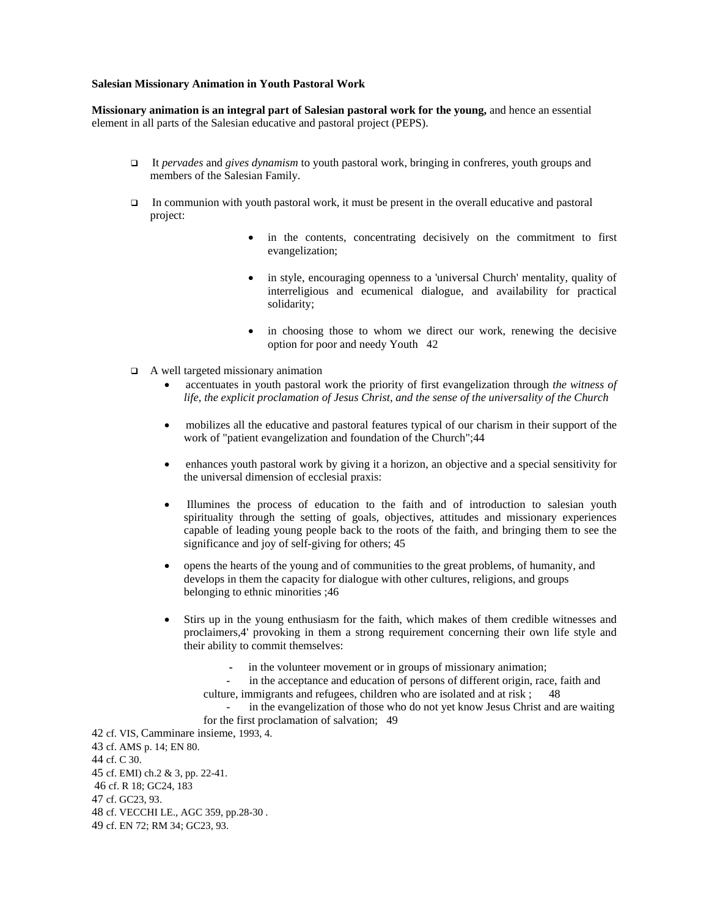#### **Salesian Missionary Animation in Youth Pastoral Work**

**Missionary animation is an integral part of Salesian pastoral work for the young,** and hence an essential element in all parts of the Salesian educative and pastoral project (PEPS).

- It *pervades* and *gives dynamism* to youth pastoral work, bringing in confreres, youth groups and members of the Salesian Family.
- In communion with youth pastoral work, it must be present in the overall educative and pastoral project:
	- in the contents, concentrating decisively on the commitment to first evangelization;
	- in style, encouraging openness to a 'universal Church' mentality, quality of interreligious and ecumenical dialogue, and availability for practical solidarity;
	- in choosing those to whom we direct our work, renewing the decisive option for poor and needy Youth 42
- $\Box$  A well targeted missionary animation
	- accentuates in youth pastoral work the priority of first evangelization through *the witness of life, the explicit proclamation of Jesus Christ, and the sense of the universality of the Church*
	- mobilizes all the educative and pastoral features typical of our charism in their support of the work of "patient evangelization and foundation of the Church";44
	- enhances youth pastoral work by giving it a horizon, an objective and a special sensitivity for the universal dimension of ecclesial praxis:
	- llumines the process of education to the faith and of introduction to salesian youth spirituality through the setting of goals, objectives, attitudes and missionary experiences capable of leading young people back to the roots of the faith, and bringing them to see the significance and joy of self-giving for others; 45
	- opens the hearts of the young and of communities to the great problems, of humanity, and develops in them the capacity for dialogue with other cultures, religions, and groups belonging to ethnic minorities ;46
	- Stirs up in the young enthusiasm for the faith, which makes of them credible witnesses and proclaimers,4' provoking in them a strong requirement concerning their own life style and their ability to commit themselves:
		- in the volunteer movement or in groups of missionary animation;
		- in the acceptance and education of persons of different origin, race, faith and culture, immigrants and refugees, children who are isolated and at risk ; 48
		- in the evangelization of those who do not yet know Jesus Christ and are waiting for the first proclamation of salvation; 49

42 cf. VIS, Camminare insieme, 1993, 4. 43 cf. AMS p. 14; EN 80. 44 cf. C 30. 45 cf. EMI) ch.2 & 3, pp. 22-41. 46 cf. R 18; GC24, 183 47 cf. GC23, 93. 48 cf. VECCHI LE., AGC 359, pp.28-30 . 49 cf. EN 72; RM 34; GC23, 93.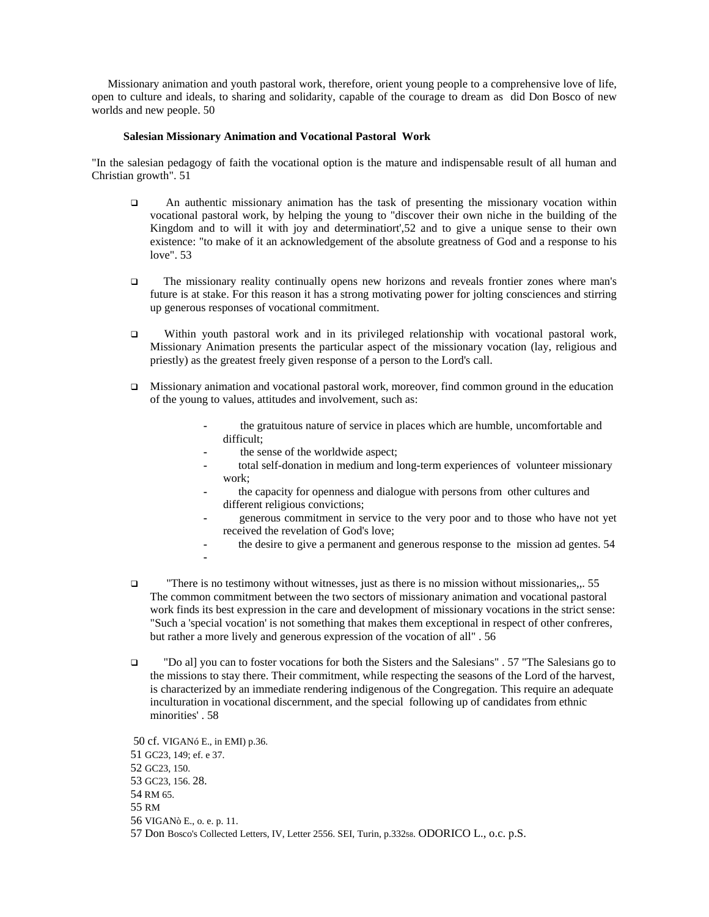Missionary animation and youth pastoral work, therefore, orient young people to a comprehensive love of life, open to culture and ideals, to sharing and solidarity, capable of the courage to dream as did Don Bosco of new worlds and new people. 50

#### **Salesian Missionary Animation and Vocational Pastoral Work**

"In the salesian pedagogy of faith the vocational option is the mature and indispensable result of all human and Christian growth". 51

- An authentic missionary animation has the task of presenting the missionary vocation within vocational pastoral work, by helping the young to "discover their own niche in the building of the Kingdom and to will it with joy and determinatiort',52 and to give a unique sense to their own existence: "to make of it an acknowledgement of the absolute greatness of God and a response to his love". 53
- The missionary reality continually opens new horizons and reveals frontier zones where man's future is at stake. For this reason it has a strong motivating power for jolting consciences and stirring up generous responses of vocational commitment.
- Within youth pastoral work and in its privileged relationship with vocational pastoral work, Missionary Animation presents the particular aspect of the missionary vocation (lay, religious and priestly) as the greatest freely given response of a person to the Lord's call.
- Missionary animation and vocational pastoral work, moreover, find common ground in the education of the young to values, attitudes and involvement, such as:
	- **-** the gratuitous nature of service in places which are humble, uncomfortable and difficult;
	- **-** the sense of the worldwide aspect;
	- **-** total self-donation in medium and long-term experiences of volunteer missionary work;
	- **-** the capacity for openness and dialogue with persons from other cultures and different religious convictions;
	- **-** generous commitment in service to the very poor and to those who have not yet received the revelation of God's love;
	- **-** the desire to give a permanent and generous response to the mission ad gentes. 54 **-**
- "There is no testimony without witnesses, just as there is no mission without missionaries,,. 55 The common commitment between the two sectors of missionary animation and vocational pastoral work finds its best expression in the care and development of missionary vocations in the strict sense: "Such a 'special vocation' is not something that makes them exceptional in respect of other confreres, but rather a more lively and generous expression of the vocation of all" . 56
- "Do al] you can to foster vocations for both the Sisters and the Salesians" . 57 "The Salesians go to the missions to stay there. Their commitment, while respecting the seasons of the Lord of the harvest, is characterized by an immediate rendering indigenous of the Congregation. This require an adequate inculturation in vocational discernment, and the special following up of candidates from ethnic minorities' . 58

 50 cf. VIGANó E., in EMI) p.36. 51 GC23, 149; ef. e 37. 52 GC23, 150. 53 GC23, 156. 28. 54 RM 65. 55 RM 56 VIGANò E., o. e. p. 11. 57 Don Bosco's Collected Letters, IV, Letter 2556. SEI, Turin, p.33258. ODORICO L., o.c. p.S.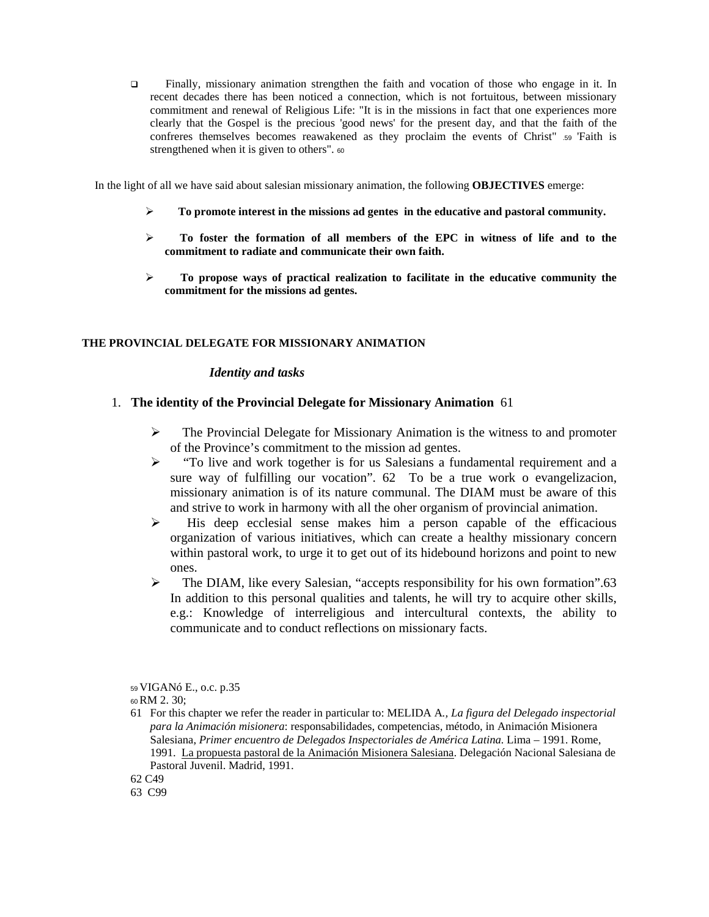Finally, missionary animation strengthen the faith and vocation of those who engage in it. In recent decades there has been noticed a connection, which is not fortuitous, between missionary commitment and renewal of Religious Life: "It is in the missions in fact that one experiences more clearly that the Gospel is the precious 'good news' for the present day, and that the faith of the confreres themselves becomes reawakened as they proclaim the events of Christ" .59 'Faith is strengthened when it is given to others".  $60$ 

In the light of all we have said about salesian missionary animation, the following **OBJECTIVES** emerge:

- **To promote interest in the missions ad gentes in the educative and pastoral community.**
- **To foster the formation of all members of the EPC in witness of life and to the commitment to radiate and communicate their own faith.**
- **To propose ways of practical realization to facilitate in the educative community the commitment for the missions ad gentes.**

#### **THE PROVINCIAL DELEGATE FOR MISSIONARY ANIMATION**

#### *Identity and tasks*

### 1. **The identity of the Provincial Delegate for Missionary Animation** 61

- The Provincial Delegate for Missionary Animation is the witness to and promoter of the Province's commitment to the mission ad gentes.
- $\triangleright$  "To live and work together is for us Salesians a fundamental requirement and a sure way of fulfilling our vocation". 62 To be a true work o evangelizacion, missionary animation is of its nature communal. The DIAM must be aware of this and strive to work in harmony with all the oher organism of provincial animation.
- $\triangleright$  His deep ecclesial sense makes him a person capable of the efficacious organization of various initiatives, which can create a healthy missionary concern within pastoral work, to urge it to get out of its hidebound horizons and point to new ones.
- $\triangleright$  The DIAM, like every Salesian, "accepts responsibility for his own formation".63 In addition to this personal qualities and talents, he will try to acquire other skills, e.g.: Knowledge of interreligious and intercultural contexts, the ability to communicate and to conduct reflections on missionary facts.

<sup>59</sup>VIGANó E., o.c. p.35

<sup>60</sup>RM 2. 30;

<sup>61</sup> For this chapter we refer the reader in particular to: MELIDA A*., La figura del Delegado inspectorial para la Animación misionera*: responsabilidades, competencias, método, in Animación Misionera Salesiana, *Primer encuentro de Delegados Inspectoriales de América Latina.* Lima – 1991. Rome, 1991. La propuesta pastoral de la Animación Misionera Salesiana. Delegación Nacional Salesiana de Pastoral Juvenil. Madrid, 1991.

<sup>62</sup> C49

<sup>63</sup> C99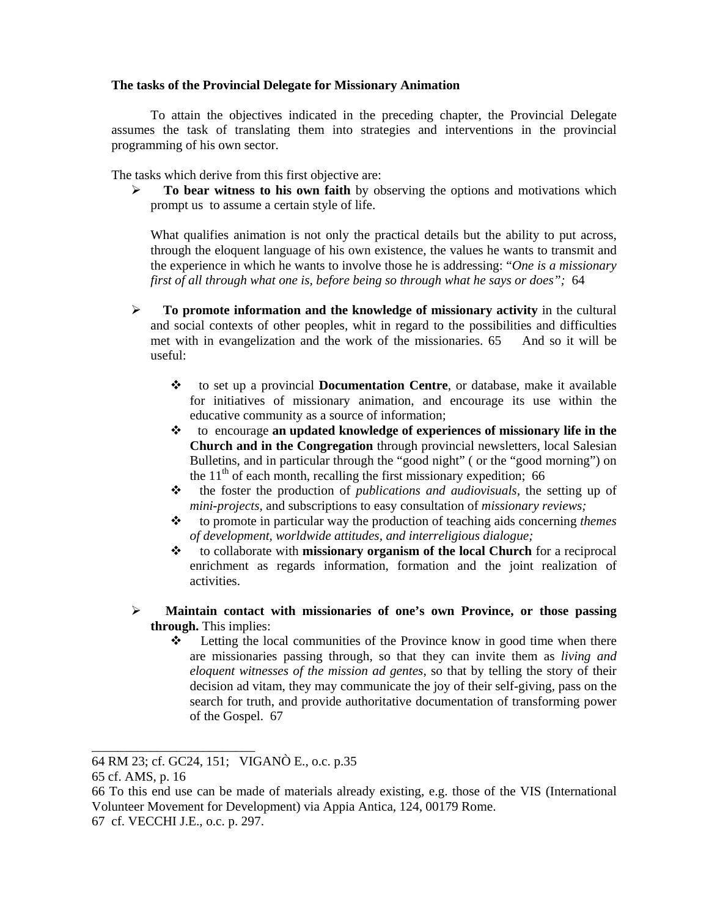## **The tasks of the Provincial Delegate for Missionary Animation**

 To attain the objectives indicated in the preceding chapter, the Provincial Delegate assumes the task of translating them into strategies and interventions in the provincial programming of his own sector.

The tasks which derive from this first objective are:

**To bear witness to his own faith** by observing the options and motivations which prompt us to assume a certain style of life.

What qualifies animation is not only the practical details but the ability to put across, through the eloquent language of his own existence, the values he wants to transmit and the experience in which he wants to involve those he is addressing: "*One is a missionary first of all through what one is, before being so through what he says or does";* 64

- **To promote information and the knowledge of missionary activity** in the cultural and social contexts of other peoples, whit in regard to the possibilities and difficulties met with in evangelization and the work of the missionaries. 65 And so it will be useful:
	- to set up a provincial **Documentation Centre**, or database, make it available for initiatives of missionary animation, and encourage its use within the educative community as a source of information;
	- to encourage **an updated knowledge of experiences of missionary life in the Church and in the Congregation** through provincial newsletters, local Salesian Bulletins, and in particular through the "good night" ( or the "good morning") on the  $11<sup>th</sup>$  of each month, recalling the first missionary expedition; 66
	- the foster the production of *publications and audiovisuals,* the setting up of *mini-projects,* and subscriptions to easy consultation of *missionary reviews;*
	- to promote in particular way the production of teaching aids concerning *themes of development, worldwide attitudes, and interreligious dialogue;*
	- to collaborate with **missionary organism of the local Church** for a reciprocal enrichment as regards information, formation and the joint realization of activities.
- **Maintain contact with missionaries of one's own Province, or those passing through.** This implies:
	- $\div$  Letting the local communities of the Province know in good time when there are missionaries passing through, so that they can invite them as *living and eloquent witnesses of the mission ad gentes*, so that by telling the story of their decision ad vitam, they may communicate the joy of their self-giving, pass on the search for truth, and provide authoritative documentation of transforming power of the Gospel. 67

\_\_\_\_\_\_\_\_\_\_\_\_\_\_\_\_\_\_\_\_\_\_\_\_\_

<sup>64</sup> RM 23; cf. GC24, 151; VIGANÒ E., o.c. p.35

<sup>65</sup> cf. AMS, p. 16

<sup>66</sup> To this end use can be made of materials already existing, e.g. those of the VIS (International Volunteer Movement for Development) via Appia Antica, 124, 00179 Rome.

<sup>67</sup> cf. VECCHI J.E., o.c. p. 297.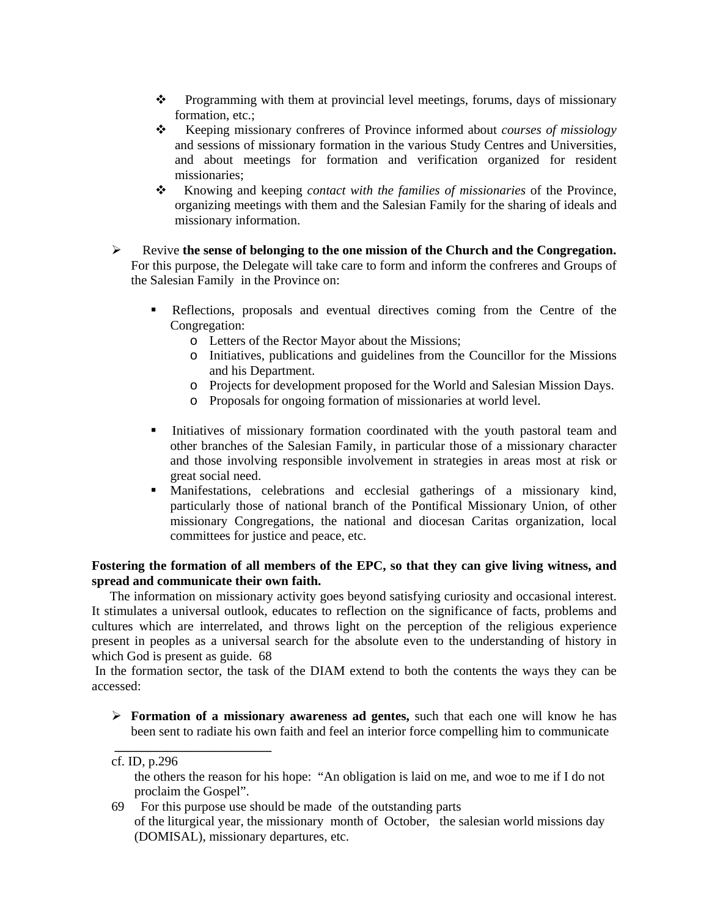- $\bullet$  Programming with them at provincial level meetings, forums, days of missionary formation, etc.;
- \* Keeping missionary confreres of Province informed about *courses of missiology* and sessions of missionary formation in the various Study Centres and Universities, and about meetings for formation and verification organized for resident missionaries;
- \* Knowing and keeping *contact with the families of missionaries* of the Province, organizing meetings with them and the Salesian Family for the sharing of ideals and missionary information.
- Revive **the sense of belonging to the one mission of the Church and the Congregation.** For this purpose, the Delegate will take care to form and inform the confreres and Groups of the Salesian Family in the Province on:
	- Reflections, proposals and eventual directives coming from the Centre of the Congregation:
		- o Letters of the Rector Mayor about the Missions;
		- o Initiatives, publications and guidelines from the Councillor for the Missions and his Department.
		- o Projects for development proposed for the World and Salesian Mission Days.
		- o Proposals for ongoing formation of missionaries at world level.
	- Initiatives of missionary formation coordinated with the youth pastoral team and other branches of the Salesian Family, in particular those of a missionary character and those involving responsible involvement in strategies in areas most at risk or great social need.
	- Manifestations, celebrations and ecclesial gatherings of a missionary kind, particularly those of national branch of the Pontifical Missionary Union, of other missionary Congregations, the national and diocesan Caritas organization, local committees for justice and peace, etc.

## **Fostering the formation of all members of the EPC, so that they can give living witness, and spread and communicate their own faith.**

 The information on missionary activity goes beyond satisfying curiosity and occasional interest. It stimulates a universal outlook, educates to reflection on the significance of facts, problems and cultures which are interrelated, and throws light on the perception of the religious experience present in peoples as a universal search for the absolute even to the understanding of history in which God is present as guide. 68

 In the formation sector, the task of the DIAM extend to both the contents the ways they can be accessed:

 **Formation of a missionary awareness ad gentes,** such that each one will know he has been sent to radiate his own faith and feel an interior force compelling him to communicate

 **\_\_\_\_\_\_\_\_\_\_\_\_\_\_\_\_\_\_\_\_\_\_\_\_** 

69 For this purpose use should be made of the outstanding parts of the liturgical year, the missionary month of October, the salesian world missions day (DOMISAL), missionary departures, etc.

cf. ID, p.296

the others the reason for his hope: "An obligation is laid on me, and woe to me if I do not proclaim the Gospel".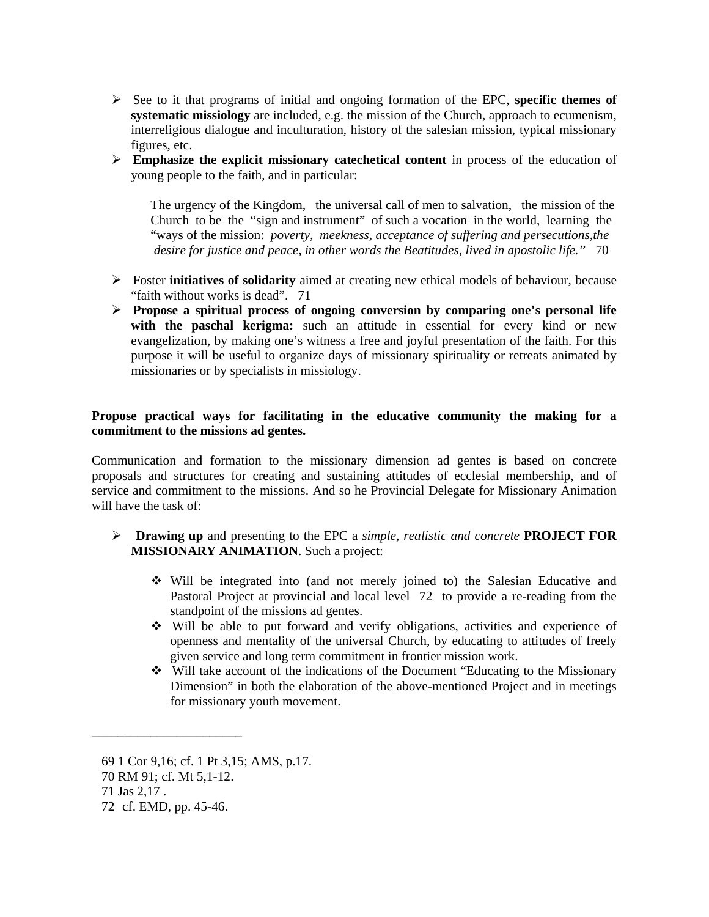- $\triangleright$  See to it that programs of initial and ongoing formation of the EPC, **specific themes of systematic missiology** are included, e.g. the mission of the Church, approach to ecumenism, interreligious dialogue and inculturation, history of the salesian mission, typical missionary figures, etc.
- **Emphasize the explicit missionary catechetical content** in process of the education of young people to the faith, and in particular:

 The urgency of the Kingdom, the universal call of men to salvation, the mission of the Church to be the "sign and instrument" of such a vocation in the world, learning the "ways of the mission: *poverty, meekness, acceptance of suffering and persecutions,the desire for justice and peace, in other words the Beatitudes, lived in apostolic life."* 70

- Foster **initiatives of solidarity** aimed at creating new ethical models of behaviour, because "faith without works is dead". 71
- **Propose a spiritual process of ongoing conversion by comparing one's personal life**  with the paschal kerigma: such an attitude in essential for every kind or new evangelization, by making one's witness a free and joyful presentation of the faith. For this purpose it will be useful to organize days of missionary spirituality or retreats animated by missionaries or by specialists in missiology.

## **Propose practical ways for facilitating in the educative community the making for a commitment to the missions ad gentes.**

Communication and formation to the missionary dimension ad gentes is based on concrete proposals and structures for creating and sustaining attitudes of ecclesial membership, and of service and commitment to the missions. And so he Provincial Delegate for Missionary Animation will have the task of

- **Drawing up** and presenting to the EPC a *simple, realistic and concrete* **PROJECT FOR MISSIONARY ANIMATION**. Such a project:
	- Will be integrated into (and not merely joined to) the Salesian Educative and Pastoral Project at provincial and local level 72 to provide a re-reading from the standpoint of the missions ad gentes.
	- Will be able to put forward and verify obligations, activities and experience of openness and mentality of the universal Church, by educating to attitudes of freely given service and long term commitment in frontier mission work.
	- Will take account of the indications of the Document "Educating to the Missionary Dimension" in both the elaboration of the above-mentioned Project and in meetings for missionary youth movement.

\_\_\_\_\_\_\_\_\_\_\_\_\_\_\_\_\_\_\_\_\_\_\_

<sup>69 1</sup> Cor 9,16; cf. 1 Pt 3,15; AMS, p.17.

<sup>70</sup> RM 91; cf. Mt 5,1-12.

<sup>71</sup> Jas 2,17 .

<sup>72</sup> cf. EMD, pp. 45-46.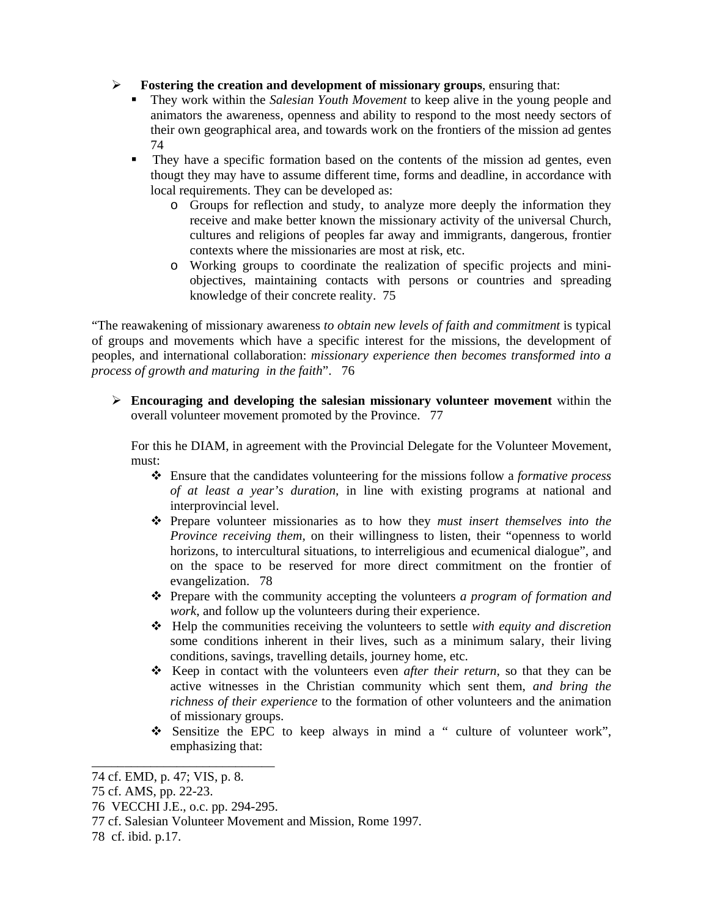**Fostering the creation and development of missionary groups**, ensuring that:

- They work within the *Salesian Youth Movement* to keep alive in the young people and animators the awareness, openness and ability to respond to the most needy sectors of their own geographical area, and towards work on the frontiers of the mission ad gentes 74
- They have a specific formation based on the contents of the mission ad gentes, even thougt they may have to assume different time, forms and deadline, in accordance with local requirements. They can be developed as:
	- o Groups for reflection and study, to analyze more deeply the information they receive and make better known the missionary activity of the universal Church, cultures and religions of peoples far away and immigrants, dangerous, frontier contexts where the missionaries are most at risk, etc.
	- o Working groups to coordinate the realization of specific projects and miniobjectives, maintaining contacts with persons or countries and spreading knowledge of their concrete reality. 75

"The reawakening of missionary awareness *to obtain new levels of faith and commitment* is typical of groups and movements which have a specific interest for the missions, the development of peoples, and international collaboration: *missionary experience then becomes transformed into a process of growth and maturing in the faith*". 76

 **Encouraging and developing the salesian missionary volunteer movement** within the overall volunteer movement promoted by the Province. 77

For this he DIAM, in agreement with the Provincial Delegate for the Volunteer Movement, must:

- Ensure that the candidates volunteering for the missions follow a *formative process of at least a year's duration*, in line with existing programs at national and interprovincial level.
- Prepare volunteer missionaries as to how they *must insert themselves into the Province receiving them,* on their willingness to listen, their "openness to world horizons, to intercultural situations, to interreligious and ecumenical dialogue", and on the space to be reserved for more direct commitment on the frontier of evangelization. 78
- Prepare with the community accepting the volunteers *a program of formation and work*, and follow up the volunteers during their experience.
- Help the communities receiving the volunteers to settle *with equity and discretion* some conditions inherent in their lives, such as a minimum salary, their living conditions, savings, travelling details, journey home, etc.
- Keep in contact with the volunteers even *after their return,* so that they can be active witnesses in the Christian community which sent them, *and bring the richness of their experience* to the formation of other volunteers and the animation of missionary groups.
- Sensitize the EPC to keep always in mind a " culture of volunteer work", emphasizing that:

\_\_\_\_\_\_\_\_\_\_\_\_\_\_\_\_\_\_\_\_\_\_\_\_\_\_\_\_

<sup>74</sup> cf. EMD, p. 47; VIS, p. 8.

<sup>75</sup> cf. AMS, pp. 22-23.

<sup>76</sup> VECCHI J.E., o.c. pp. 294-295.

<sup>77</sup> cf. Salesian Volunteer Movement and Mission, Rome 1997.

<sup>78</sup> cf. ibid. p.17.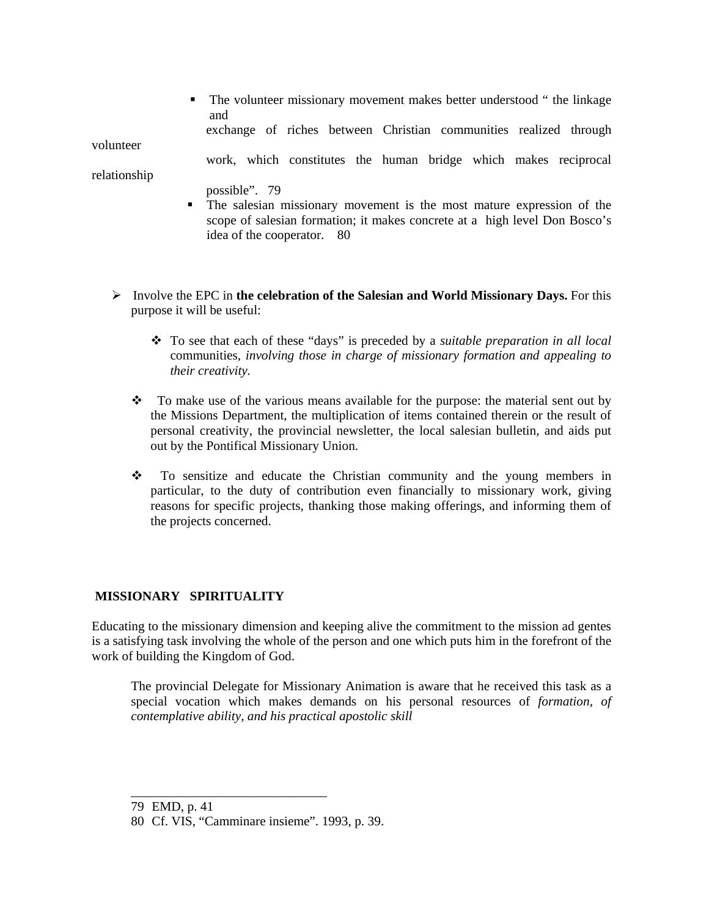• The volunteer missionary movement makes better understood " the linkage and

exchange of riches between Christian communities realized through

volunteer

work, which constitutes the human bridge which makes reciprocal

relationship

- possible". 79
- The salesian missionary movement is the most mature expression of the scope of salesian formation; it makes concrete at a high level Don Bosco's idea of the cooperator. 80
- $\triangleright$  Involve the EPC in the celebration of the Salesian and World Missionary Days. For this purpose it will be useful:
	- To see that each of these "days" is preceded by a *suitable preparation in all local*  communities*, involving those in charge of missionary formation and appealing to their creativity.*
	- \* To make use of the various means available for the purpose: the material sent out by the Missions Department, the multiplication of items contained therein or the result of personal creativity, the provincial newsletter, the local salesian bulletin, and aids put out by the Pontifical Missionary Union.
	- $\cdot \cdot$  To sensitize and educate the Christian community and the young members in particular, to the duty of contribution even financially to missionary work, giving reasons for specific projects, thanking those making offerings, and informing them of the projects concerned.

# **MISSIONARY SPIRITUALITY**

Educating to the missionary dimension and keeping alive the commitment to the mission ad gentes is a satisfying task involving the whole of the person and one which puts him in the forefront of the work of building the Kingdom of God.

The provincial Delegate for Missionary Animation is aware that he received this task as a special vocation which makes demands on his personal resources of *formation, of contemplative ability, and his practical apostolic skill*

\_\_\_\_\_\_\_\_\_\_\_\_\_\_\_\_\_\_\_\_\_\_\_\_\_\_\_\_\_\_

<sup>79</sup> EMD, p. 41

<sup>80</sup> Cf. VIS, "Camminare insieme". 1993, p. 39.